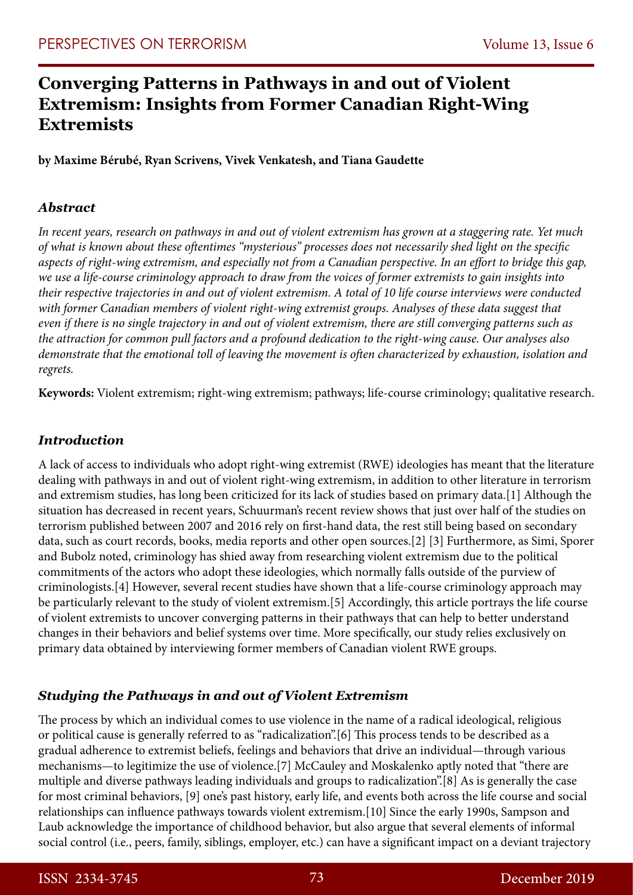# **Converging Patterns in Pathways in and out of Violent Extremism: Insights from Former Canadian Right-Wing Extremists**

**by Maxime Bérubé, Ryan Scrivens, Vivek Venkatesh, and Tiana Gaudette**

# *Abstract*

*In recent years, research on pathways in and out of violent extremism has grown at a staggering rate. Yet much of what is known about these oftentimes "mysterious" processes does not necessarily shed light on the specific aspects of right-wing extremism, and especially not from a Canadian perspective. In an effort to bridge this gap, we use a life-course criminology approach to draw from the voices of former extremists to gain insights into their respective trajectories in and out of violent extremism. A total of 10 life course interviews were conducted with former Canadian members of violent right-wing extremist groups. Analyses of these data suggest that even if there is no single trajectory in and out of violent extremism, there are still converging patterns such as the attraction for common pull factors and a profound dedication to the right-wing cause. Our analyses also demonstrate that the emotional toll of leaving the movement is often characterized by exhaustion, isolation and regrets.* 

**Keywords:** Violent extremism; right-wing extremism; pathways; life-course criminology; qualitative research.

# *Introduction*

A lack of access to individuals who adopt right-wing extremist (RWE) ideologies has meant that the literature dealing with pathways in and out of violent right-wing extremism, in addition to other literature in terrorism and extremism studies, has long been criticized for its lack of studies based on primary data.[1] Although the situation has decreased in recent years, Schuurman's recent review shows that just over half of the studies on terrorism published between 2007 and 2016 rely on first-hand data, the rest still being based on secondary data, such as court records, books, media reports and other open sources.[2] [3] Furthermore, as Simi, Sporer and Bubolz noted, criminology has shied away from researching violent extremism due to the political commitments of the actors who adopt these ideologies, which normally falls outside of the purview of criminologists.[4] However, several recent studies have shown that a life-course criminology approach may be particularly relevant to the study of violent extremism.[5] Accordingly, this article portrays the life course of violent extremists to uncover converging patterns in their pathways that can help to better understand changes in their behaviors and belief systems over time. More specifically, our study relies exclusively on primary data obtained by interviewing former members of Canadian violent RWE groups.

# *Studying the Pathways in and out of Violent Extremism*

The process by which an individual comes to use violence in the name of a radical ideological, religious or political cause is generally referred to as "radicalization".[6] This process tends to be described as a gradual adherence to extremist beliefs, feelings and behaviors that drive an individual—through various mechanisms—to legitimize the use of violence.[7] McCauley and Moskalenko aptly noted that "there are multiple and diverse pathways leading individuals and groups to radicalization".[8] As is generally the case for most criminal behaviors, [9] one's past history, early life, and events both across the life course and social relationships can influence pathways towards violent extremism.[10] Since the early 1990s, Sampson and Laub acknowledge the importance of childhood behavior, but also argue that several elements of informal social control (i.e., peers, family, siblings, employer, etc.) can have a significant impact on a deviant trajectory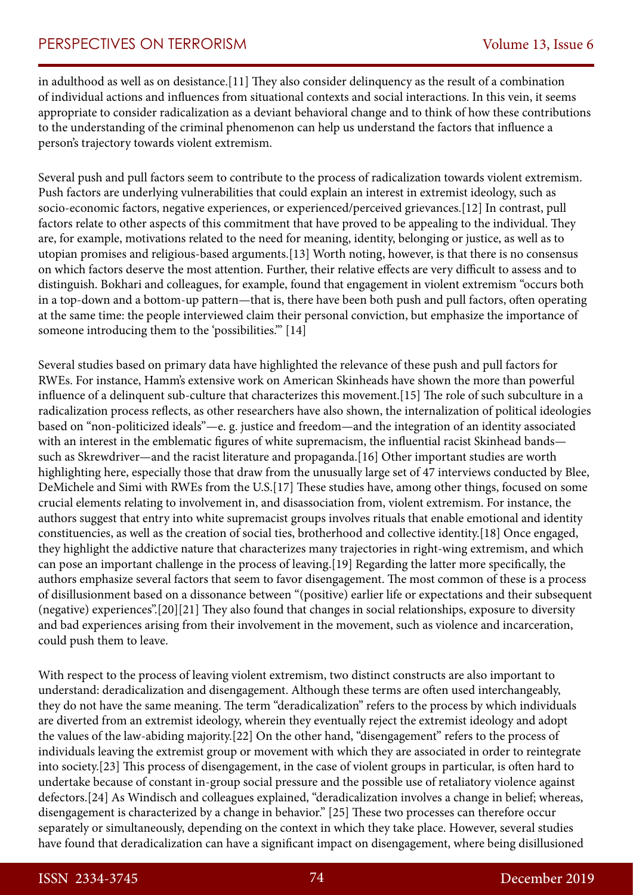in adulthood as well as on desistance.[11] They also consider delinquency as the result of a combination of individual actions and influences from situational contexts and social interactions. In this vein, it seems appropriate to consider radicalization as a deviant behavioral change and to think of how these contributions to the understanding of the criminal phenomenon can help us understand the factors that influence a person's trajectory towards violent extremism.

Several push and pull factors seem to contribute to the process of radicalization towards violent extremism. Push factors are underlying vulnerabilities that could explain an interest in extremist ideology, such as socio-economic factors, negative experiences, or experienced/perceived grievances.[12] In contrast, pull factors relate to other aspects of this commitment that have proved to be appealing to the individual. They are, for example, motivations related to the need for meaning, identity, belonging or justice, as well as to utopian promises and religious-based arguments.[13] Worth noting, however, is that there is no consensus on which factors deserve the most attention. Further, their relative effects are very difficult to assess and to distinguish. Bokhari and colleagues, for example, found that engagement in violent extremism "occurs both in a top-down and a bottom-up pattern—that is, there have been both push and pull factors, often operating at the same time: the people interviewed claim their personal conviction, but emphasize the importance of someone introducing them to the 'possibilities.'" [14]

Several studies based on primary data have highlighted the relevance of these push and pull factors for RWEs. For instance, Hamm's extensive work on American Skinheads have shown the more than powerful influence of a delinquent sub-culture that characterizes this movement.[15] The role of such subculture in a radicalization process reflects, as other researchers have also shown, the internalization of political ideologies based on "non-politicized ideals"—e. g. justice and freedom—and the integration of an identity associated with an interest in the emblematic figures of white supremacism, the influential racist Skinhead bands such as Skrewdriver—and the racist literature and propaganda.[16] Other important studies are worth highlighting here, especially those that draw from the unusually large set of 47 interviews conducted by Blee, DeMichele and Simi with RWEs from the U.S.[17] These studies have, among other things, focused on some crucial elements relating to involvement in, and disassociation from, violent extremism. For instance, the authors suggest that entry into white supremacist groups involves rituals that enable emotional and identity constituencies, as well as the creation of social ties, brotherhood and collective identity.[18] Once engaged, they highlight the addictive nature that characterizes many trajectories in right-wing extremism, and which can pose an important challenge in the process of leaving.[19] Regarding the latter more specifically, the authors emphasize several factors that seem to favor disengagement. The most common of these is a process of disillusionment based on a dissonance between "(positive) earlier life or expectations and their subsequent (negative) experiences".[20][21] They also found that changes in social relationships, exposure to diversity and bad experiences arising from their involvement in the movement, such as violence and incarceration, could push them to leave.

With respect to the process of leaving violent extremism, two distinct constructs are also important to understand: deradicalization and disengagement. Although these terms are often used interchangeably, they do not have the same meaning. The term "deradicalization" refers to the process by which individuals are diverted from an extremist ideology, wherein they eventually reject the extremist ideology and adopt the values of the law-abiding majority.[22] On the other hand, "disengagement" refers to the process of individuals leaving the extremist group or movement with which they are associated in order to reintegrate into society.[23] This process of disengagement, in the case of violent groups in particular, is often hard to undertake because of constant in-group social pressure and the possible use of retaliatory violence against defectors.[24] As Windisch and colleagues explained, "deradicalization involves a change in belief; whereas, disengagement is characterized by a change in behavior." [25] These two processes can therefore occur separately or simultaneously, depending on the context in which they take place. However, several studies have found that deradicalization can have a significant impact on disengagement, where being disillusioned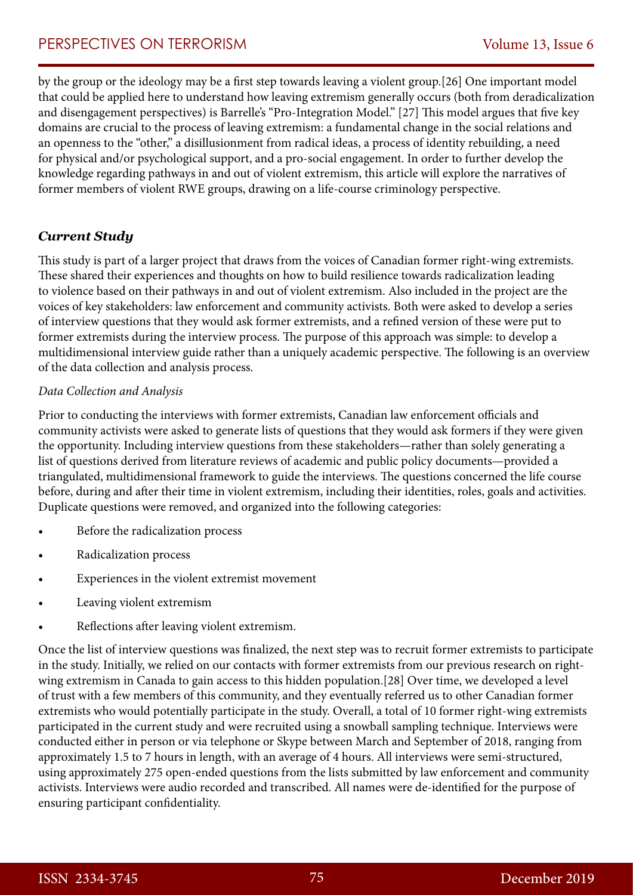by the group or the ideology may be a first step towards leaving a violent group.[26] One important model that could be applied here to understand how leaving extremism generally occurs (both from deradicalization and disengagement perspectives) is Barrelle's "Pro-Integration Model." [27] This model argues that five key domains are crucial to the process of leaving extremism: a fundamental change in the social relations and an openness to the "other," a disillusionment from radical ideas, a process of identity rebuilding, a need for physical and/or psychological support, and a pro-social engagement. In order to further develop the knowledge regarding pathways in and out of violent extremism, this article will explore the narratives of former members of violent RWE groups, drawing on a life-course criminology perspective.

# *Current Study*

This study is part of a larger project that draws from the voices of Canadian former right-wing extremists. These shared their experiences and thoughts on how to build resilience towards radicalization leading to violence based on their pathways in and out of violent extremism. Also included in the project are the voices of key stakeholders: law enforcement and community activists. Both were asked to develop a series of interview questions that they would ask former extremists, and a refined version of these were put to former extremists during the interview process. The purpose of this approach was simple: to develop a multidimensional interview guide rather than a uniquely academic perspective. The following is an overview of the data collection and analysis process.

#### *Data Collection and Analysis*

Prior to conducting the interviews with former extremists, Canadian law enforcement officials and community activists were asked to generate lists of questions that they would ask formers if they were given the opportunity. Including interview questions from these stakeholders—rather than solely generating a list of questions derived from literature reviews of academic and public policy documents—provided a triangulated, multidimensional framework to guide the interviews. The questions concerned the life course before, during and after their time in violent extremism, including their identities, roles, goals and activities. Duplicate questions were removed, and organized into the following categories:

- Before the radicalization process
- Radicalization process
- Experiences in the violent extremist movement
- Leaving violent extremism
- Reflections after leaving violent extremism.

Once the list of interview questions was finalized, the next step was to recruit former extremists to participate in the study. Initially, we relied on our contacts with former extremists from our previous research on rightwing extremism in Canada to gain access to this hidden population.[28] Over time, we developed a level of trust with a few members of this community, and they eventually referred us to other Canadian former extremists who would potentially participate in the study. Overall, a total of 10 former right-wing extremists participated in the current study and were recruited using a snowball sampling technique. Interviews were conducted either in person or via telephone or Skype between March and September of 2018, ranging from approximately 1.5 to 7 hours in length, with an average of 4 hours. All interviews were semi-structured, using approximately 275 open-ended questions from the lists submitted by law enforcement and community activists. Interviews were audio recorded and transcribed. All names were de-identified for the purpose of ensuring participant confidentiality.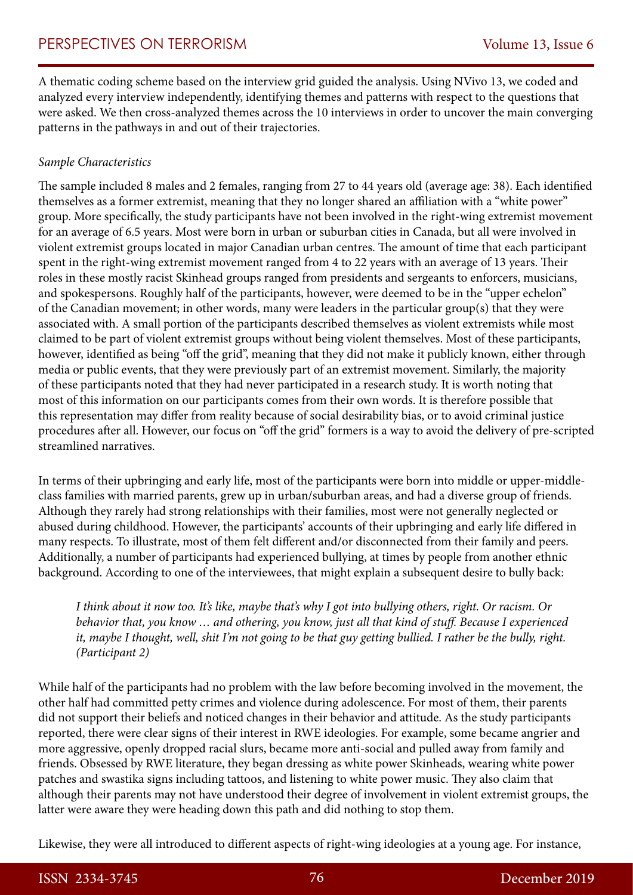A thematic coding scheme based on the interview grid guided the analysis. Using NVivo 13, we coded and analyzed every interview independently, identifying themes and patterns with respect to the questions that were asked. We then cross-analyzed themes across the 10 interviews in order to uncover the main converging patterns in the pathways in and out of their trajectories.

### *Sample Characteristics*

The sample included 8 males and 2 females, ranging from 27 to 44 years old (average age: 38). Each identified themselves as a former extremist, meaning that they no longer shared an affiliation with a "white power" group. More specifically, the study participants have not been involved in the right-wing extremist movement for an average of 6.5 years. Most were born in urban or suburban cities in Canada, but all were involved in violent extremist groups located in major Canadian urban centres. The amount of time that each participant spent in the right-wing extremist movement ranged from 4 to 22 years with an average of 13 years. Their roles in these mostly racist Skinhead groups ranged from presidents and sergeants to enforcers, musicians, and spokespersons. Roughly half of the participants, however, were deemed to be in the "upper echelon" of the Canadian movement; in other words, many were leaders in the particular group(s) that they were associated with. A small portion of the participants described themselves as violent extremists while most claimed to be part of violent extremist groups without being violent themselves. Most of these participants, however, identified as being "off the grid", meaning that they did not make it publicly known, either through media or public events, that they were previously part of an extremist movement. Similarly, the majority of these participants noted that they had never participated in a research study. It is worth noting that most of this information on our participants comes from their own words. It is therefore possible that this representation may differ from reality because of social desirability bias, or to avoid criminal justice procedures after all. However, our focus on "off the grid" formers is a way to avoid the delivery of pre-scripted streamlined narratives.

In terms of their upbringing and early life, most of the participants were born into middle or upper-middleclass families with married parents, grew up in urban/suburban areas, and had a diverse group of friends. Although they rarely had strong relationships with their families, most were not generally neglected or abused during childhood. However, the participants' accounts of their upbringing and early life differed in many respects. To illustrate, most of them felt different and/or disconnected from their family and peers. Additionally, a number of participants had experienced bullying, at times by people from another ethnic background. According to one of the interviewees, that might explain a subsequent desire to bully back:

*I think about it now too. It's like, maybe that's why I got into bullying others, right. Or racism. Or behavior that, you know … and othering, you know, just all that kind of stuff. Because I experienced it, maybe I thought, well, shit I'm not going to be that guy getting bullied. I rather be the bully, right. (Participant 2)*

While half of the participants had no problem with the law before becoming involved in the movement, the other half had committed petty crimes and violence during adolescence. For most of them, their parents did not support their beliefs and noticed changes in their behavior and attitude. As the study participants reported, there were clear signs of their interest in RWE ideologies. For example, some became angrier and more aggressive, openly dropped racial slurs, became more anti-social and pulled away from family and friends. Obsessed by RWE literature, they began dressing as white power Skinheads, wearing white power patches and swastika signs including tattoos, and listening to white power music. They also claim that although their parents may not have understood their degree of involvement in violent extremist groups, the latter were aware they were heading down this path and did nothing to stop them.

Likewise, they were all introduced to different aspects of right-wing ideologies at a young age. For instance,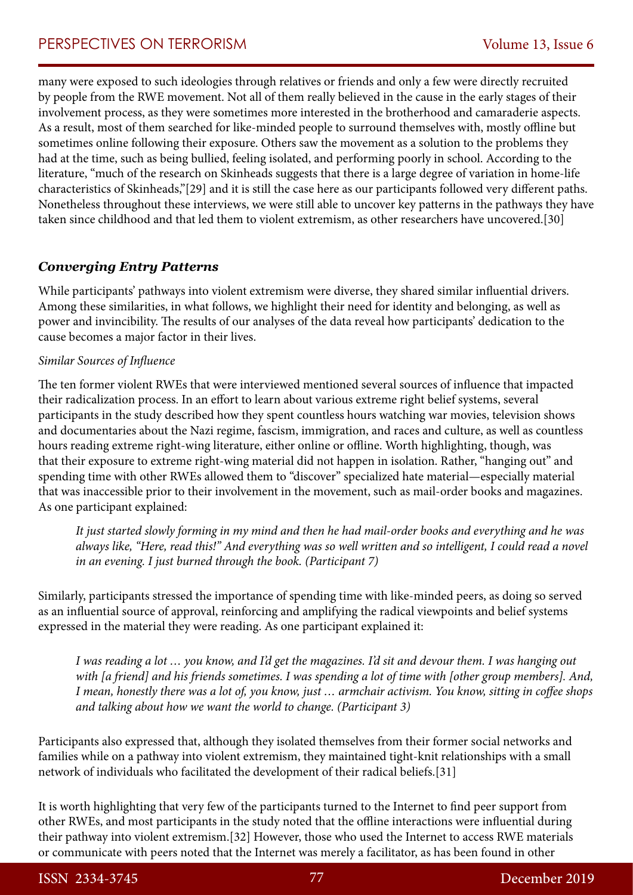many were exposed to such ideologies through relatives or friends and only a few were directly recruited by people from the RWE movement. Not all of them really believed in the cause in the early stages of their involvement process, as they were sometimes more interested in the brotherhood and camaraderie aspects. As a result, most of them searched for like-minded people to surround themselves with, mostly offline but sometimes online following their exposure. Others saw the movement as a solution to the problems they had at the time, such as being bullied, feeling isolated, and performing poorly in school. According to the literature, "much of the research on Skinheads suggests that there is a large degree of variation in home-life characteristics of Skinheads,"[29] and it is still the case here as our participants followed very different paths. Nonetheless throughout these interviews, we were still able to uncover key patterns in the pathways they have taken since childhood and that led them to violent extremism, as other researchers have uncovered.[30]

# *Converging Entry Patterns*

While participants' pathways into violent extremism were diverse, they shared similar influential drivers. Among these similarities, in what follows, we highlight their need for identity and belonging, as well as power and invincibility. The results of our analyses of the data reveal how participants' dedication to the cause becomes a major factor in their lives.

#### *Similar Sources of Influence*

The ten former violent RWEs that were interviewed mentioned several sources of influence that impacted their radicalization process. In an effort to learn about various extreme right belief systems, several participants in the study described how they spent countless hours watching war movies, television shows and documentaries about the Nazi regime, fascism, immigration, and races and culture, as well as countless hours reading extreme right-wing literature, either online or offline. Worth highlighting, though, was that their exposure to extreme right-wing material did not happen in isolation. Rather, "hanging out" and spending time with other RWEs allowed them to "discover" specialized hate material—especially material that was inaccessible prior to their involvement in the movement, such as mail-order books and magazines. As one participant explained:

*It just started slowly forming in my mind and then he had mail-order books and everything and he was always like, "Here, read this!" And everything was so well written and so intelligent, I could read a novel in an evening. I just burned through the book. (Participant 7)*

Similarly, participants stressed the importance of spending time with like-minded peers, as doing so served as an influential source of approval, reinforcing and amplifying the radical viewpoints and belief systems expressed in the material they were reading. As one participant explained it:

*I was reading a lot … you know, and I'd get the magazines. I'd sit and devour them. I was hanging out with [a friend] and his friends sometimes. I was spending a lot of time with [other group members]. And, I mean, honestly there was a lot of, you know, just … armchair activism. You know, sitting in coffee shops and talking about how we want the world to change. (Participant 3)*

Participants also expressed that, although they isolated themselves from their former social networks and families while on a pathway into violent extremism, they maintained tight-knit relationships with a small network of individuals who facilitated the development of their radical beliefs.[31]

It is worth highlighting that very few of the participants turned to the Internet to find peer support from other RWEs, and most participants in the study noted that the offline interactions were influential during their pathway into violent extremism.[32] However, those who used the Internet to access RWE materials or communicate with peers noted that the Internet was merely a facilitator, as has been found in other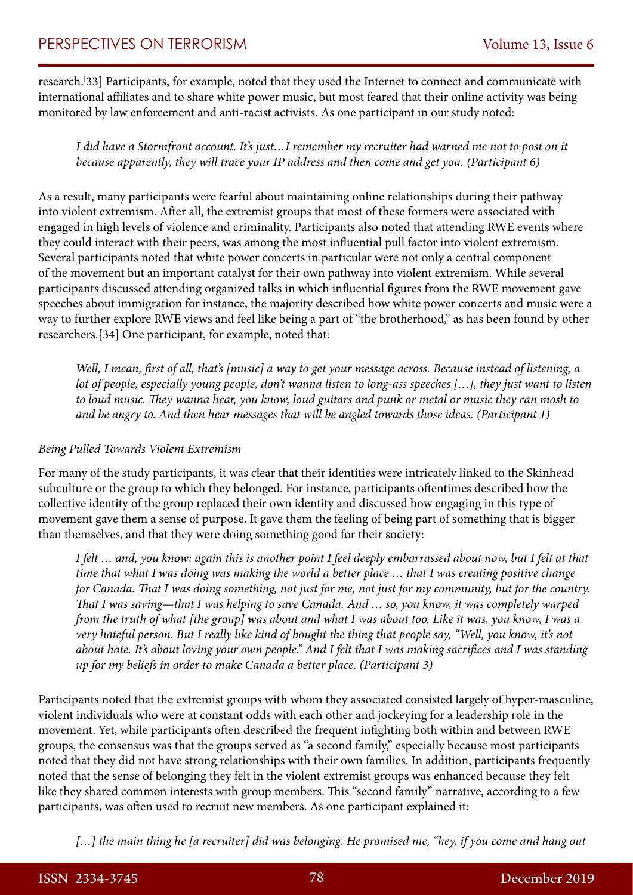research.[ 33] Participants, for example, noted that they used the Internet to connect and communicate with international affiliates and to share white power music, but most feared that their online activity was being monitored by law enforcement and anti-racist activists. As one participant in our study noted:

*I did have a Stormfront account. It's just…I remember my recruiter had warned me not to post on it because apparently, they will trace your IP address and then come and get you. (Participant 6)*

As a result, many participants were fearful about maintaining online relationships during their pathway into violent extremism. After all, the extremist groups that most of these formers were associated with engaged in high levels of violence and criminality. Participants also noted that attending RWE events where they could interact with their peers, was among the most influential pull factor into violent extremism. Several participants noted that white power concerts in particular were not only a central component of the movement but an important catalyst for their own pathway into violent extremism. While several participants discussed attending organized talks in which influential figures from the RWE movement gave speeches about immigration for instance, the majority described how white power concerts and music were a way to further explore RWE views and feel like being a part of "the brotherhood," as has been found by other researchers.[34] One participant, for example, noted that:

*Well, I mean, first of all, that's [music] a way to get your message across. Because instead of listening, a lot of people, especially young people, don't wanna listen to long-ass speeches [...], they just want to listen to loud music. They wanna hear, you know, loud guitars and punk or metal or music they can mosh to and be angry to. And then hear messages that will be angled towards those ideas. (Participant 1)*

#### *Being Pulled Towards Violent Extremism*

For many of the study participants, it was clear that their identities were intricately linked to the Skinhead subculture or the group to which they belonged. For instance, participants oftentimes described how the collective identity of the group replaced their own identity and discussed how engaging in this type of movement gave them a sense of purpose. It gave them the feeling of being part of something that is bigger than themselves, and that they were doing something good for their society:

*I felt … and, you know; again this is another point I feel deeply embarrassed about now, but I felt at that time that what I was doing was making the world a better place … that I was creating positive change for Canada. That I was doing something, not just for me, not just for my community, but for the country. That I was saving*—*that I was helping to save Canada. And … so, you know, it was completely warped from the truth of what [the group] was about and what I was about too. Like it was, you know, I was a very hateful person. But I really like kind of bought the thing that people say, "Well, you know, it's not about hate. It's about loving your own people." And I felt that I was making sacrifices and I was standing up for my beliefs in order to make Canada a better place. (Participant 3)*

Participants noted that the extremist groups with whom they associated consisted largely of hyper-masculine, violent individuals who were at constant odds with each other and jockeying for a leadership role in the movement. Yet, while participants often described the frequent infighting both within and between RWE groups, the consensus was that the groups served as "a second family," especially because most participants noted that they did not have strong relationships with their own families. In addition, participants frequently noted that the sense of belonging they felt in the violent extremist groups was enhanced because they felt like they shared common interests with group members. This "second family" narrative, according to a few participants, was often used to recruit new members. As one participant explained it:

[...] the main thing he [a recruiter] did was belonging. He promised me, "hey, if you come and hang out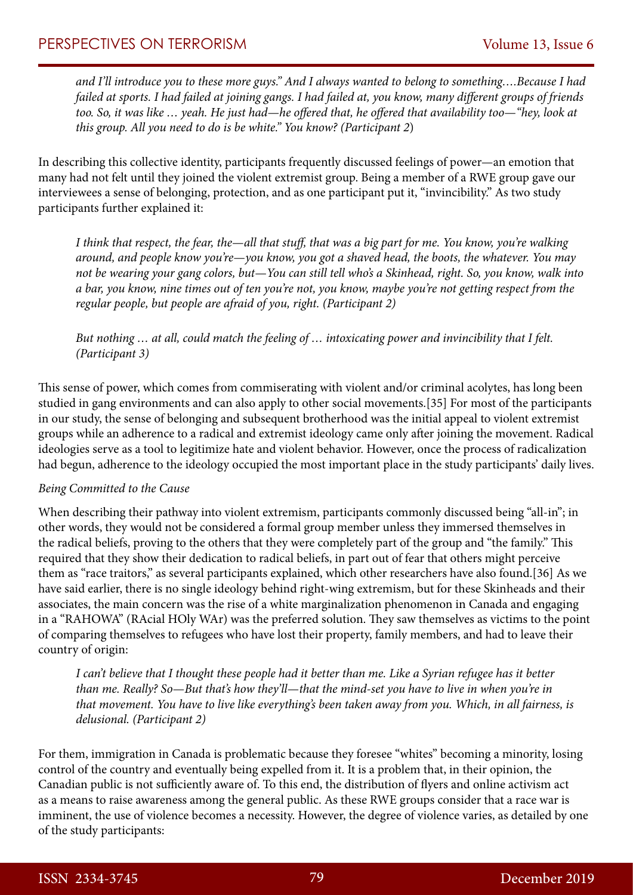*and I'll introduce you to these more guys." And I always wanted to belong to something….Because I had failed at sports. I had failed at joining gangs. I had failed at, you know, many different groups of friends too. So, it was like … yeah. He just had*—*he offered that, he offered that availability too*—*"hey, look at this group. All you need to do is be white." You know? (Participant 2*)

In describing this collective identity, participants frequently discussed feelings of power—an emotion that many had not felt until they joined the violent extremist group. Being a member of a RWE group gave our interviewees a sense of belonging, protection, and as one participant put it, "invincibility." As two study participants further explained it:

*I think that respect, the fear, the*—*all that stuff, that was a big part for me. You know, you're walking around, and people know you're*—*you know, you got a shaved head, the boots, the whatever. You may not be wearing your gang colors, but*—*You can still tell who's a Skinhead, right. So, you know, walk into a bar, you know, nine times out of ten you're not, you know, maybe you're not getting respect from the regular people, but people are afraid of you, right. (Participant 2)*

*But nothing … at all, could match the feeling of … intoxicating power and invincibility that I felt. (Participant 3)*

This sense of power, which comes from commiserating with violent and/or criminal acolytes, has long been studied in gang environments and can also apply to other social movements.[35] For most of the participants in our study, the sense of belonging and subsequent brotherhood was the initial appeal to violent extremist groups while an adherence to a radical and extremist ideology came only after joining the movement. Radical ideologies serve as a tool to legitimize hate and violent behavior. However, once the process of radicalization had begun, adherence to the ideology occupied the most important place in the study participants' daily lives.

#### *Being Committed to the Cause*

When describing their pathway into violent extremism, participants commonly discussed being "all-in"; in other words, they would not be considered a formal group member unless they immersed themselves in the radical beliefs, proving to the others that they were completely part of the group and "the family." This required that they show their dedication to radical beliefs, in part out of fear that others might perceive them as "race traitors," as several participants explained, which other researchers have also found.[36] As we have said earlier, there is no single ideology behind right-wing extremism, but for these Skinheads and their associates, the main concern was the rise of a white marginalization phenomenon in Canada and engaging in a "RAHOWA" (RAcial HOly WAr) was the preferred solution. They saw themselves as victims to the point of comparing themselves to refugees who have lost their property, family members, and had to leave their country of origin:

*I can't believe that I thought these people had it better than me. Like a Syrian refugee has it better than me. Really? So*—*But that's how they'll*—*that the mind-set you have to live in when you're in that movement. You have to live like everything's been taken away from you. Which, in all fairness, is delusional. (Participant 2)*

For them, immigration in Canada is problematic because they foresee "whites" becoming a minority, losing control of the country and eventually being expelled from it. It is a problem that, in their opinion, the Canadian public is not sufficiently aware of. To this end, the distribution of flyers and online activism act as a means to raise awareness among the general public. As these RWE groups consider that a race war is imminent, the use of violence becomes a necessity. However, the degree of violence varies, as detailed by one of the study participants: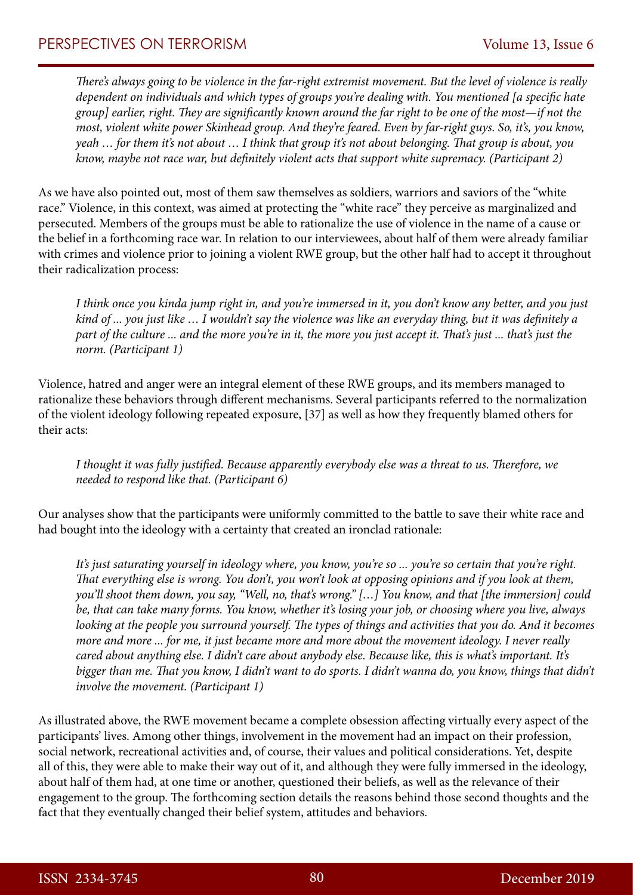*There's always going to be violence in the far-right extremist movement. But the level of violence is really dependent on individuals and which types of groups you're dealing with. You mentioned [a specific hate group] earlier, right. They are significantly known around the far right to be one of the most—if not the most, violent white power Skinhead group. And they're feared. Even by far-right guys. So, it's, you know, yeah … for them it's not about … I think that group it's not about belonging. That group is about, you know, maybe not race war, but definitely violent acts that support white supremacy. (Participant 2)*

As we have also pointed out, most of them saw themselves as soldiers, warriors and saviors of the "white race." Violence, in this context, was aimed at protecting the "white race" they perceive as marginalized and persecuted. Members of the groups must be able to rationalize the use of violence in the name of a cause or the belief in a forthcoming race war. In relation to our interviewees, about half of them were already familiar with crimes and violence prior to joining a violent RWE group, but the other half had to accept it throughout their radicalization process:

*I think once you kinda jump right in, and you're immersed in it, you don't know any better, and you just kind of ... you just like … I wouldn't say the violence was like an everyday thing, but it was definitely a part of the culture ... and the more you're in it, the more you just accept it. That's just ... that's just the norm. (Participant 1)*

Violence, hatred and anger were an integral element of these RWE groups, and its members managed to rationalize these behaviors through different mechanisms. Several participants referred to the normalization of the violent ideology following repeated exposure, [37] as well as how they frequently blamed others for their acts:

*I thought it was fully justified. Because apparently everybody else was a threat to us. Therefore, we needed to respond like that. (Participant 6)*

Our analyses show that the participants were uniformly committed to the battle to save their white race and had bought into the ideology with a certainty that created an ironclad rationale:

*It's just saturating yourself in ideology where, you know, you're so ... you're so certain that you're right. That everything else is wrong. You don't, you won't look at opposing opinions and if you look at them, you'll shoot them down, you say, "Well, no, that's wrong." […] You know, and that [the immersion] could be, that can take many forms. You know, whether it's losing your job, or choosing where you live, always looking at the people you surround yourself. The types of things and activities that you do. And it becomes more and more ... for me, it just became more and more about the movement ideology. I never really cared about anything else. I didn't care about anybody else. Because like, this is what's important. It's bigger than me. That you know, I didn't want to do sports. I didn't wanna do, you know, things that didn't involve the movement. (Participant 1)*

As illustrated above, the RWE movement became a complete obsession affecting virtually every aspect of the participants' lives. Among other things, involvement in the movement had an impact on their profession, social network, recreational activities and, of course, their values and political considerations. Yet, despite all of this, they were able to make their way out of it, and although they were fully immersed in the ideology, about half of them had, at one time or another, questioned their beliefs, as well as the relevance of their engagement to the group. The forthcoming section details the reasons behind those second thoughts and the fact that they eventually changed their belief system, attitudes and behaviors.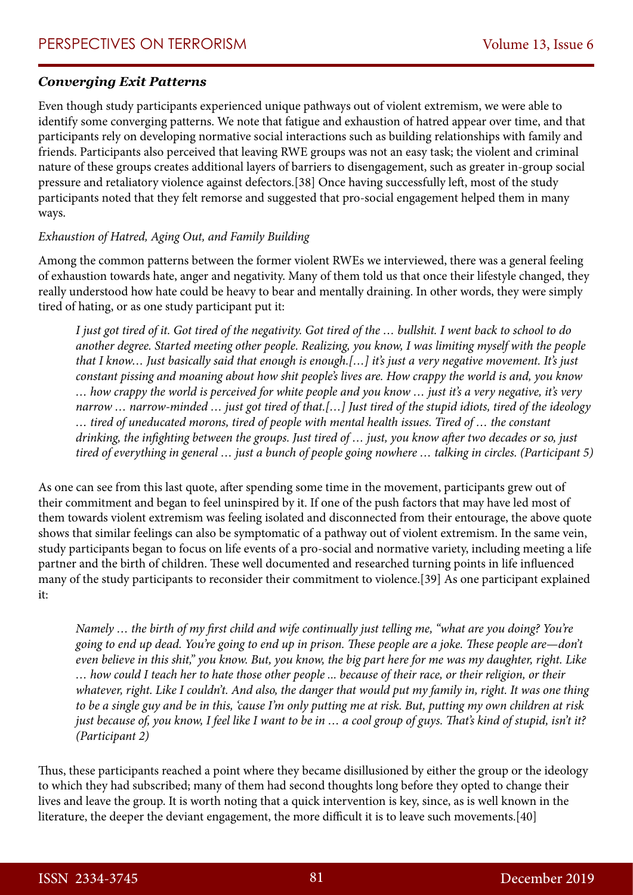### *Converging Exit Patterns*

Even though study participants experienced unique pathways out of violent extremism, we were able to identify some converging patterns. We note that fatigue and exhaustion of hatred appear over time, and that participants rely on developing normative social interactions such as building relationships with family and friends. Participants also perceived that leaving RWE groups was not an easy task; the violent and criminal nature of these groups creates additional layers of barriers to disengagement, such as greater in-group social pressure and retaliatory violence against defectors.[38] Once having successfully left, most of the study participants noted that they felt remorse and suggested that pro-social engagement helped them in many ways.

#### *Exhaustion of Hatred, Aging Out, and Family Building*

Among the common patterns between the former violent RWEs we interviewed, there was a general feeling of exhaustion towards hate, anger and negativity. Many of them told us that once their lifestyle changed, they really understood how hate could be heavy to bear and mentally draining. In other words, they were simply tired of hating, or as one study participant put it:

*I just got tired of it. Got tired of the negativity. Got tired of the … bullshit. I went back to school to do another degree. Started meeting other people. Realizing, you know, I was limiting myself with the people that I know… Just basically said that enough is enough.[…] it's just a very negative movement. It's just constant pissing and moaning about how shit people's lives are. How crappy the world is and, you know … how crappy the world is perceived for white people and you know … just it's a very negative, it's very narrow … narrow-minded … just got tired of that.[…] Just tired of the stupid idiots, tired of the ideology … tired of uneducated morons, tired of people with mental health issues. Tired of … the constant drinking, the infighting between the groups. Just tired of … just, you know after two decades or so, just tired of everything in general … just a bunch of people going nowhere … talking in circles. (Participant 5)*

As one can see from this last quote, after spending some time in the movement, participants grew out of their commitment and began to feel uninspired by it. If one of the push factors that may have led most of them towards violent extremism was feeling isolated and disconnected from their entourage, the above quote shows that similar feelings can also be symptomatic of a pathway out of violent extremism. In the same vein, study participants began to focus on life events of a pro-social and normative variety, including meeting a life partner and the birth of children. These well documented and researched turning points in life influenced many of the study participants to reconsider their commitment to violence.[39] As one participant explained it:

*Namely … the birth of my first child and wife continually just telling me, "what are you doing? You're going to end up dead. You're going to end up in prison. These people are a joke. These people are*—*don't even believe in this shit," you know. But, you know, the big part here for me was my daughter, right. Like … how could I teach her to hate those other people ... because of their race, or their religion, or their whatever, right. Like I couldn't. And also, the danger that would put my family in, right. It was one thing to be a single guy and be in this, 'cause I'm only putting me at risk. But, putting my own children at risk just because of, you know, I feel like I want to be in … a cool group of guys. That's kind of stupid, isn't it? (Participant 2)*

Thus, these participants reached a point where they became disillusioned by either the group or the ideology to which they had subscribed; many of them had second thoughts long before they opted to change their lives and leave the group. It is worth noting that a quick intervention is key, since, as is well known in the literature, the deeper the deviant engagement, the more difficult it is to leave such movements.[40]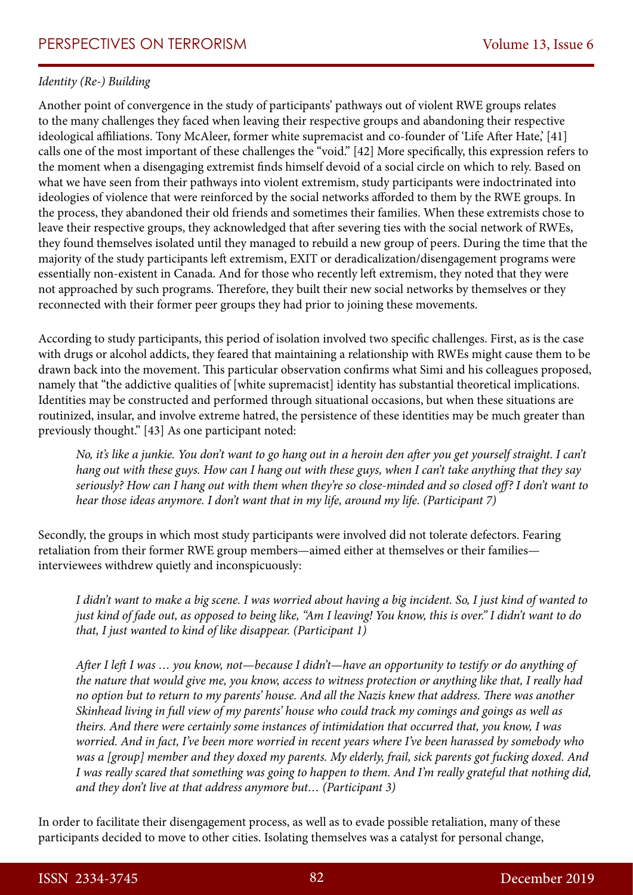### *Identity (Re-) Building*

Another point of convergence in the study of participants' pathways out of violent RWE groups relates to the many challenges they faced when leaving their respective groups and abandoning their respective ideological affiliations. Tony McAleer, former white supremacist and co-founder of 'Life After Hate,' [41] calls one of the most important of these challenges the "void." [42] More specifically, this expression refers to the moment when a disengaging extremist finds himself devoid of a social circle on which to rely. Based on what we have seen from their pathways into violent extremism, study participants were indoctrinated into ideologies of violence that were reinforced by the social networks afforded to them by the RWE groups. In the process, they abandoned their old friends and sometimes their families. When these extremists chose to leave their respective groups, they acknowledged that after severing ties with the social network of RWEs, they found themselves isolated until they managed to rebuild a new group of peers. During the time that the majority of the study participants left extremism, EXIT or deradicalization/disengagement programs were essentially non-existent in Canada. And for those who recently left extremism, they noted that they were not approached by such programs. Therefore, they built their new social networks by themselves or they reconnected with their former peer groups they had prior to joining these movements.

According to study participants, this period of isolation involved two specific challenges. First, as is the case with drugs or alcohol addicts, they feared that maintaining a relationship with RWEs might cause them to be drawn back into the movement. This particular observation confirms what Simi and his colleagues proposed, namely that "the addictive qualities of [white supremacist] identity has substantial theoretical implications. Identities may be constructed and performed through situational occasions, but when these situations are routinized, insular, and involve extreme hatred, the persistence of these identities may be much greater than previously thought." [43] As one participant noted:

*No, it's like a junkie. You don't want to go hang out in a heroin den after you get yourself straight. I can't hang out with these guys. How can I hang out with these guys, when I can't take anything that they say seriously? How can I hang out with them when they're so close-minded and so closed off? I don't want to hear those ideas anymore. I don't want that in my life, around my life. (Participant 7)*

Secondly, the groups in which most study participants were involved did not tolerate defectors. Fearing retaliation from their former RWE group members—aimed either at themselves or their families interviewees withdrew quietly and inconspicuously:

*I didn't want to make a big scene. I was worried about having a big incident. So, I just kind of wanted to just kind of fade out, as opposed to being like, "Am I leaving! You know, this is over." I didn't want to do that, I just wanted to kind of like disappear. (Participant 1)*

*After I left I was … you know, not*—*because I didn't*—*have an opportunity to testify or do anything of the nature that would give me, you know, access to witness protection or anything like that, I really had no option but to return to my parents' house. And all the Nazis knew that address. There was another Skinhead living in full view of my parents' house who could track my comings and goings as well as theirs. And there were certainly some instances of intimidation that occurred that, you know, I was worried. And in fact, I've been more worried in recent years where I've been harassed by somebody who was a [group] member and they doxed my parents. My elderly, frail, sick parents got fucking doxed. And I was really scared that something was going to happen to them. And I'm really grateful that nothing did, and they don't live at that address anymore but… (Participant 3)*

In order to facilitate their disengagement process, as well as to evade possible retaliation, many of these participants decided to move to other cities. Isolating themselves was a catalyst for personal change,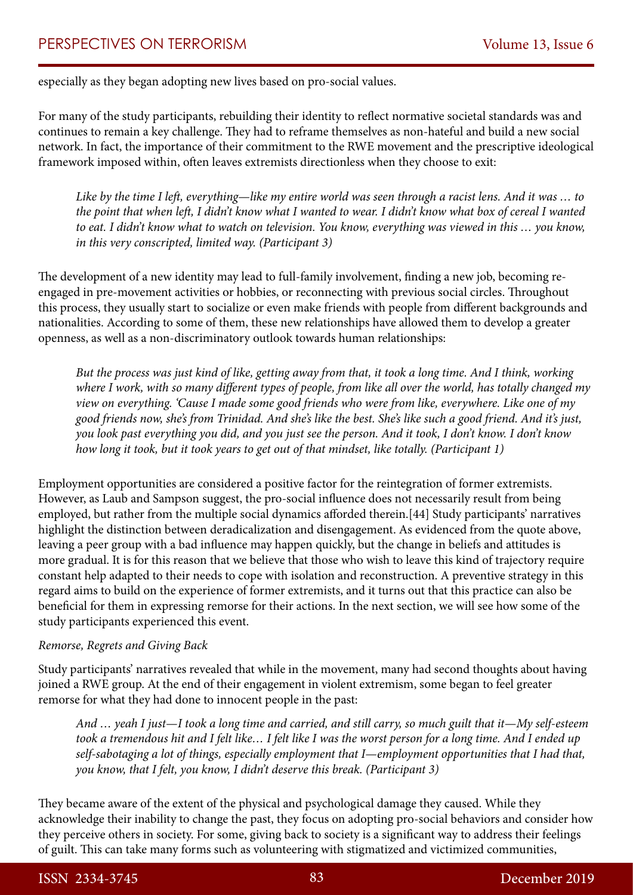especially as they began adopting new lives based on pro-social values.

For many of the study participants, rebuilding their identity to reflect normative societal standards was and continues to remain a key challenge. They had to reframe themselves as non-hateful and build a new social network. In fact, the importance of their commitment to the RWE movement and the prescriptive ideological framework imposed within, often leaves extremists directionless when they choose to exit:

*Like by the time I left, everything*—*like my entire world was seen through a racist lens. And it was … to the point that when left, I didn't know what I wanted to wear. I didn't know what box of cereal I wanted to eat. I didn't know what to watch on television. You know, everything was viewed in this … you know, in this very conscripted, limited way. (Participant 3)*

The development of a new identity may lead to full-family involvement, finding a new job, becoming reengaged in pre-movement activities or hobbies, or reconnecting with previous social circles. Throughout this process, they usually start to socialize or even make friends with people from different backgrounds and nationalities. According to some of them, these new relationships have allowed them to develop a greater openness, as well as a non-discriminatory outlook towards human relationships:

*But the process was just kind of like, getting away from that, it took a long time. And I think, working where I work, with so many different types of people, from like all over the world, has totally changed my view on everything. 'Cause I made some good friends who were from like, everywhere. Like one of my good friends now, she's from Trinidad. And she's like the best. She's like such a good friend. And it's just, you look past everything you did, and you just see the person. And it took, I don't know. I don't know how long it took, but it took years to get out of that mindset, like totally. (Participant 1)*

Employment opportunities are considered a positive factor for the reintegration of former extremists. However, as Laub and Sampson suggest, the pro-social influence does not necessarily result from being employed, but rather from the multiple social dynamics afforded therein.[44] Study participants' narratives highlight the distinction between deradicalization and disengagement. As evidenced from the quote above, leaving a peer group with a bad influence may happen quickly, but the change in beliefs and attitudes is more gradual. It is for this reason that we believe that those who wish to leave this kind of trajectory require constant help adapted to their needs to cope with isolation and reconstruction. A preventive strategy in this regard aims to build on the experience of former extremists, and it turns out that this practice can also be beneficial for them in expressing remorse for their actions. In the next section, we will see how some of the study participants experienced this event.

#### *Remorse, Regrets and Giving Back*

Study participants' narratives revealed that while in the movement, many had second thoughts about having joined a RWE group. At the end of their engagement in violent extremism, some began to feel greater remorse for what they had done to innocent people in the past:

*And … yeah I just*—*I took a long time and carried, and still carry, so much guilt that it*—*My self-esteem took a tremendous hit and I felt like… I felt like I was the worst person for a long time. And I ended up self-sabotaging a lot of things, especially employment that I*—*employment opportunities that I had that, you know, that I felt, you know, I didn't deserve this break. (Participant 3)*

They became aware of the extent of the physical and psychological damage they caused. While they acknowledge their inability to change the past, they focus on adopting pro-social behaviors and consider how they perceive others in society. For some, giving back to society is a significant way to address their feelings of guilt. This can take many forms such as volunteering with stigmatized and victimized communities,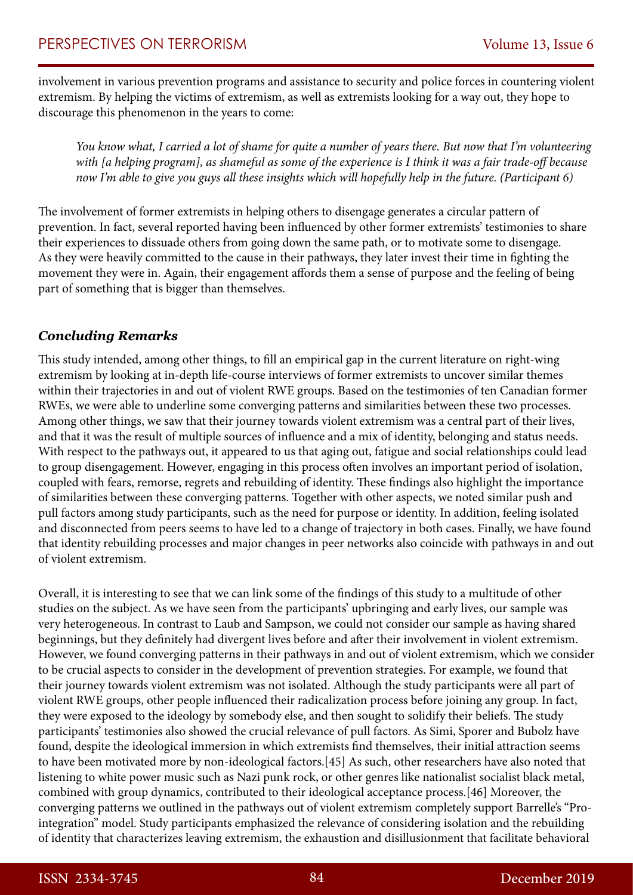involvement in various prevention programs and assistance to security and police forces in countering violent extremism. By helping the victims of extremism, as well as extremists looking for a way out, they hope to discourage this phenomenon in the years to come:

*You know what, I carried a lot of shame for quite a number of years there. But now that I'm volunteering with [a helping program], as shameful as some of the experience is I think it was a fair trade-off because now I'm able to give you guys all these insights which will hopefully help in the future. (Participant 6)*

The involvement of former extremists in helping others to disengage generates a circular pattern of prevention. In fact, several reported having been influenced by other former extremists' testimonies to share their experiences to dissuade others from going down the same path, or to motivate some to disengage. As they were heavily committed to the cause in their pathways, they later invest their time in fighting the movement they were in. Again, their engagement affords them a sense of purpose and the feeling of being part of something that is bigger than themselves.

### *Concluding Remarks*

This study intended, among other things, to fill an empirical gap in the current literature on right-wing extremism by looking at in-depth life-course interviews of former extremists to uncover similar themes within their trajectories in and out of violent RWE groups. Based on the testimonies of ten Canadian former RWEs, we were able to underline some converging patterns and similarities between these two processes. Among other things, we saw that their journey towards violent extremism was a central part of their lives, and that it was the result of multiple sources of influence and a mix of identity, belonging and status needs. With respect to the pathways out, it appeared to us that aging out, fatigue and social relationships could lead to group disengagement. However, engaging in this process often involves an important period of isolation, coupled with fears, remorse, regrets and rebuilding of identity. These findings also highlight the importance of similarities between these converging patterns. Together with other aspects, we noted similar push and pull factors among study participants, such as the need for purpose or identity. In addition, feeling isolated and disconnected from peers seems to have led to a change of trajectory in both cases. Finally, we have found that identity rebuilding processes and major changes in peer networks also coincide with pathways in and out of violent extremism.

Overall, it is interesting to see that we can link some of the findings of this study to a multitude of other studies on the subject. As we have seen from the participants' upbringing and early lives, our sample was very heterogeneous. In contrast to Laub and Sampson, we could not consider our sample as having shared beginnings, but they definitely had divergent lives before and after their involvement in violent extremism. However, we found converging patterns in their pathways in and out of violent extremism, which we consider to be crucial aspects to consider in the development of prevention strategies. For example, we found that their journey towards violent extremism was not isolated. Although the study participants were all part of violent RWE groups, other people influenced their radicalization process before joining any group. In fact, they were exposed to the ideology by somebody else, and then sought to solidify their beliefs. The study participants' testimonies also showed the crucial relevance of pull factors. As Simi, Sporer and Bubolz have found, despite the ideological immersion in which extremists find themselves, their initial attraction seems to have been motivated more by non-ideological factors.[45] As such, other researchers have also noted that listening to white power music such as Nazi punk rock, or other genres like nationalist socialist black metal, combined with group dynamics, contributed to their ideological acceptance process.[46] Moreover, the converging patterns we outlined in the pathways out of violent extremism completely support Barrelle's "Prointegration" model. Study participants emphasized the relevance of considering isolation and the rebuilding of identity that characterizes leaving extremism, the exhaustion and disillusionment that facilitate behavioral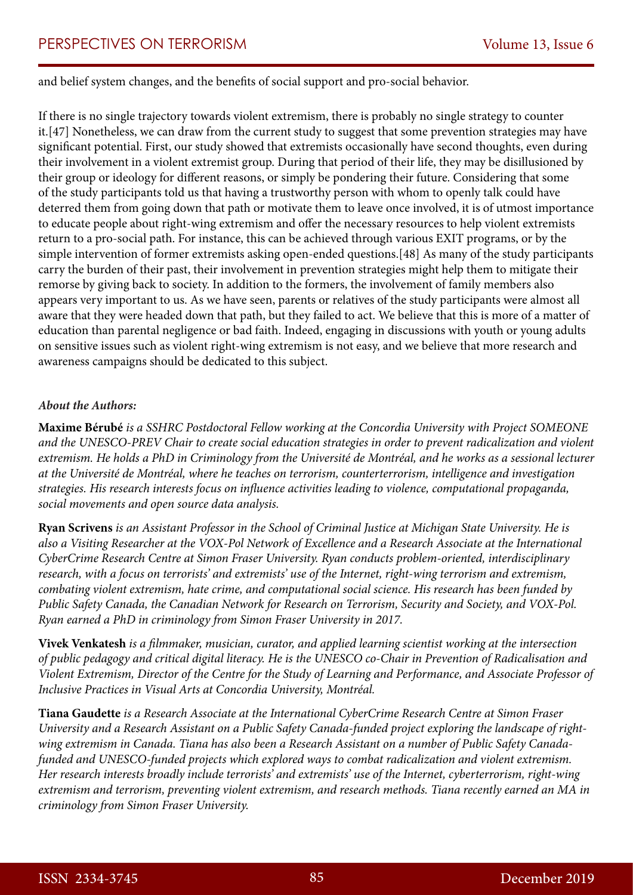and belief system changes, and the benefits of social support and pro-social behavior.

If there is no single trajectory towards violent extremism, there is probably no single strategy to counter it.[47] Nonetheless, we can draw from the current study to suggest that some prevention strategies may have significant potential. First, our study showed that extremists occasionally have second thoughts, even during their involvement in a violent extremist group. During that period of their life, they may be disillusioned by their group or ideology for different reasons, or simply be pondering their future. Considering that some of the study participants told us that having a trustworthy person with whom to openly talk could have deterred them from going down that path or motivate them to leave once involved, it is of utmost importance to educate people about right-wing extremism and offer the necessary resources to help violent extremists return to a pro-social path. For instance, this can be achieved through various EXIT programs, or by the simple intervention of former extremists asking open-ended questions.[48] As many of the study participants carry the burden of their past, their involvement in prevention strategies might help them to mitigate their remorse by giving back to society. In addition to the formers, the involvement of family members also appears very important to us. As we have seen, parents or relatives of the study participants were almost all aware that they were headed down that path, but they failed to act. We believe that this is more of a matter of education than parental negligence or bad faith. Indeed, engaging in discussions with youth or young adults on sensitive issues such as violent right-wing extremism is not easy, and we believe that more research and awareness campaigns should be dedicated to this subject.

#### *About the Authors:*

**Maxime Bérubé** *is a SSHRC Postdoctoral Fellow working at the Concordia University with Project SOMEONE and the UNESCO-PREV Chair to create social education strategies in order to prevent radicalization and violent extremism. He holds a PhD in Criminology from the Université de Montréal, and he works as a sessional lecturer at the Université de Montréal, where he teaches on terrorism, counterterrorism, intelligence and investigation strategies. His research interests focus on influence activities leading to violence, computational propaganda, social movements and open source data analysis.*

**Ryan Scrivens** *is an Assistant Professor in the School of Criminal Justice at Michigan State University. He is also a Visiting Researcher at the VOX-Pol Network of Excellence and a Research Associate at the International CyberCrime Research Centre at Simon Fraser University. Ryan conducts problem-oriented, interdisciplinary research, with a focus on terrorists' and extremists' use of the Internet, right-wing terrorism and extremism, combating violent extremism, hate crime, and computational social science. His research has been funded by Public Safety Canada, the Canadian Network for Research on Terrorism, Security and Society, and VOX-Pol. Ryan earned a PhD in criminology from Simon Fraser University in 2017.*

**Vivek Venkatesh** *is a filmmaker, musician, curator, and applied learning scientist working at the intersection of public pedagogy and critical digital literacy. He is the UNESCO co-Chair in Prevention of Radicalisation and Violent Extremism, Director of the Centre for the Study of Learning and Performance, and Associate Professor of Inclusive Practices in Visual Arts at Concordia University, Montréal.*

**Tiana Gaudette** *is a Research Associate at the International CyberCrime Research Centre at Simon Fraser University and a Research Assistant on a Public Safety Canada-funded project exploring the landscape of rightwing extremism in Canada. Tiana has also been a Research Assistant on a number of Public Safety Canadafunded and UNESCO-funded projects which explored ways to combat radicalization and violent extremism. Her research interests broadly include terrorists' and extremists' use of the Internet, cyberterrorism, right-wing extremism and terrorism, preventing violent extremism, and research methods. Tiana recently earned an MA in criminology from Simon Fraser University.*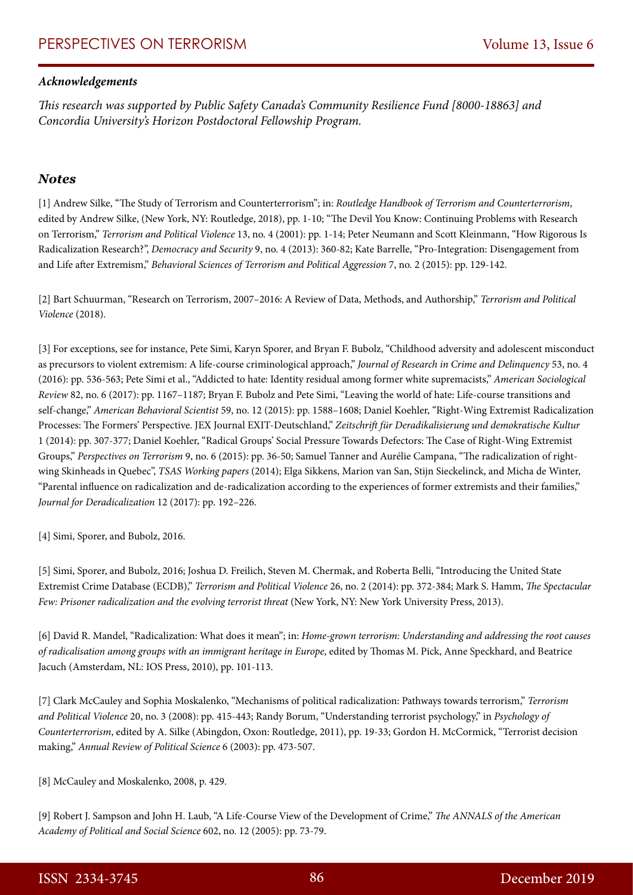#### *Acknowledgements*

*This research was supported by Public Safety Canada's Community Resilience Fund [8000-18863] and Concordia University's Horizon Postdoctoral Fellowship Program.*

#### *Notes*

[1] Andrew Silke, "The Study of Terrorism and Counterterrorism"; in: *Routledge Handbook of Terrorism and Counterterrorism*, edited by Andrew Silke, (New York, NY: Routledge, 2018), pp. 1-10; "The Devil You Know: Continuing Problems with Research on Terrorism," *Terrorism and Political Violence* 13, no. 4 (2001): pp. 1-14; Peter Neumann and Scott Kleinmann, "How Rigorous Is Radicalization Research?", *Democracy and Security* 9, no. 4 (2013): 360-82; Kate Barrelle, "Pro-Integration: Disengagement from and Life after Extremism," *Behavioral Sciences of Terrorism and Political Aggression* 7, no. 2 (2015): pp. 129-142.

[2] Bart Schuurman, "Research on Terrorism, 2007–2016: A Review of Data, Methods, and Authorship," *Terrorism and Political Violence* (2018).

[3] For exceptions, see for instance, Pete Simi, Karyn Sporer, and Bryan F. Bubolz, "Childhood adversity and adolescent misconduct as precursors to violent extremism: A life-course criminological approach," *Journal of Research in Crime and Delinquency* 53, no. 4 (2016): pp. 536-563; Pete Simi et al., "Addicted to hate: Identity residual among former white supremacists," *American Sociological Review* 82, no. 6 (2017): pp. 1167–1187; Bryan F. Bubolz and Pete Simi, "Leaving the world of hate: Life-course transitions and self-change," *American Behavioral Scientist* 59, no. 12 (2015): pp. 1588–1608; Daniel Koehler, "Right-Wing Extremist Radicalization Processes: The Formers' Perspective. JEX Journal EXIT-Deutschland," *Zeitschrift für Deradikalisierung und demokratische Kultur* 1 (2014): pp. 307-377; Daniel Koehler, "Radical Groups' Social Pressure Towards Defectors: The Case of Right-Wing Extremist Groups," *Perspectives on Terrorism* 9, no. 6 (2015): pp. 36-50; Samuel Tanner and Aurélie Campana, "The radicalization of rightwing Skinheads in Quebec", *TSAS Working papers* (2014); Elga Sikkens, Marion van San, Stijn Sieckelinck, and Micha de Winter, "Parental influence on radicalization and de-radicalization according to the experiences of former extremists and their families," *Journal for Deradicalization* 12 (2017): pp. 192–226.

[4] Simi, Sporer, and Bubolz, 2016.

[5] Simi, Sporer, and Bubolz, 2016; Joshua D. Freilich, Steven M. Chermak, and Roberta Belli, "Introducing the United State Extremist Crime Database (ECDB)," *Terrorism and Political Violence* 26, no. 2 (2014): pp. 372-384; Mark S. Hamm, *The Spectacular Few: Prisoner radicalization and the evolving terrorist threat* (New York, NY: New York University Press, 2013).

[6] David R. Mandel, "Radicalization: What does it mean"; in: *Home-grown terrorism: Understanding and addressing the root causes of radicalisation among groups with an immigrant heritage in Europe*, edited by Thomas M. Pick, Anne Speckhard, and Beatrice Jacuch (Amsterdam, NL: IOS Press, 2010), pp. 101-113.

[7] Clark McCauley and Sophia Moskalenko, "Mechanisms of political radicalization: Pathways towards terrorism," *Terrorism and Political Violence* 20, no. 3 (2008): pp. 415-443; Randy Borum, "Understanding terrorist psychology," in *Psychology of Counterterrorism*, edited by A. Silke (Abingdon, Oxon: Routledge, 2011), pp. 19-33; Gordon H. McCormick, "Terrorist decision making," *Annual Review of Political Science* 6 (2003): pp. 473-507.

[8] McCauley and Moskalenko, 2008, p. 429.

[9] Robert J. Sampson and John H. Laub, "A Life-Course View of the Development of Crime," *The ANNALS of the American Academy of Political and Social Science* 602, no. 12 (2005): pp. 73-79.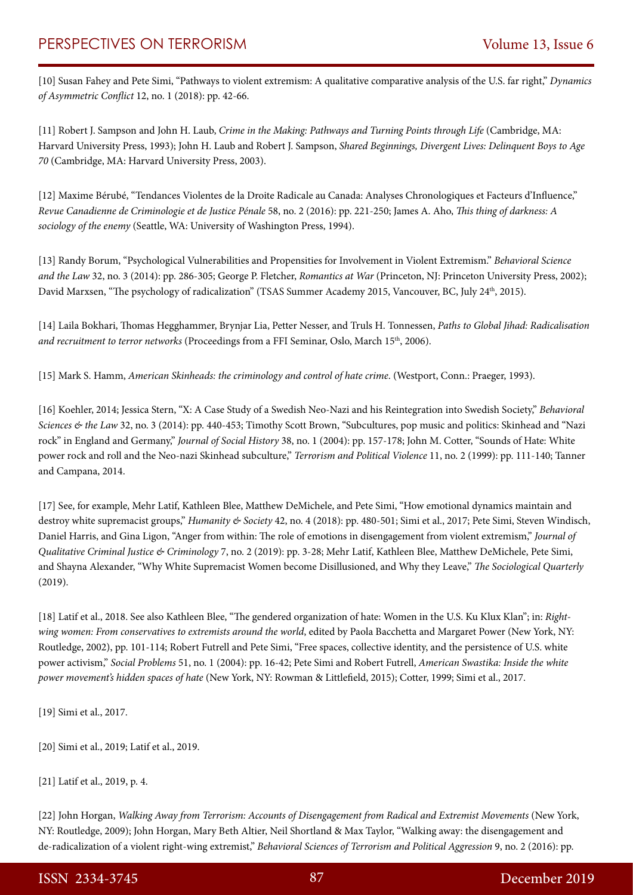[10] Susan Fahey and Pete Simi, "Pathways to violent extremism: A qualitative comparative analysis of the U.S. far right," *Dynamics of Asymmetric Conflict* 12, no. 1 (2018): pp. 42-66.

[11] Robert J. Sampson and John H. Laub, *Crime in the Making: Pathways and Turning Points through Life* (Cambridge, MA: Harvard University Press, 1993); John H. Laub and Robert J. Sampson, *Shared Beginnings, Divergent Lives: Delinquent Boys to Age 70* (Cambridge, MA: Harvard University Press, 2003).

[12] Maxime Bérubé, "Tendances Violentes de la Droite Radicale au Canada: Analyses Chronologiques et Facteurs d'Influence," *Revue Canadienne de Criminologie et de Justice Pénale* 58, no. 2 (2016): pp. 221-250; James A. Aho, *This thing of darkness: A sociology of the enemy* (Seattle, WA: University of Washington Press, 1994).

[13] Randy Borum, "Psychological Vulnerabilities and Propensities for Involvement in Violent Extremism." *Behavioral Science and the Law* 32, no. 3 (2014): pp. 286-305; George P. Fletcher, *Romantics at War* (Princeton, NJ: Princeton University Press, 2002); David Marxsen, "The psychology of radicalization" (TSAS Summer Academy 2015, Vancouver, BC, July 24<sup>th</sup>, 2015).

[14] Laila Bokhari, Thomas Hegghammer, Brynjar Lia, Petter Nesser, and Truls H. Tonnessen, *Paths to Global Jihad: Radicalisation and recruitment to terror networks* (Proceedings from a FFI Seminar, Oslo, March 15<sup>th</sup>, 2006).

[15] Mark S. Hamm, *American Skinheads: the criminology and control of hate crime*. (Westport, Conn.: Praeger, 1993).

[16] Koehler, 2014; Jessica Stern, "X: A Case Study of a Swedish Neo-Nazi and his Reintegration into Swedish Society," *Behavioral Sciences & the Law* 32, no. 3 (2014): pp. 440-453; Timothy Scott Brown, "Subcultures, pop music and politics: Skinhead and "Nazi rock" in England and Germany," *Journal of Social History* 38, no. 1 (2004): pp. 157-178; John M. Cotter, "Sounds of Hate: White power rock and roll and the Neo-nazi Skinhead subculture," *Terrorism and Political Violence* 11, no. 2 (1999): pp. 111-140; Tanner and Campana, 2014.

[17] See, for example, Mehr Latif, Kathleen Blee, Matthew DeMichele, and Pete Simi, "How emotional dynamics maintain and destroy white supremacist groups," *Humanity & Society* 42, no. 4 (2018): pp. 480-501; Simi et al., 2017; Pete Simi, Steven Windisch, Daniel Harris, and Gina Ligon, "Anger from within: The role of emotions in disengagement from violent extremism," *Journal of Qualitative Criminal Justice & Criminology* 7, no. 2 (2019): pp. 3-28; Mehr Latif, Kathleen Blee, Matthew DeMichele, Pete Simi, and Shayna Alexander, "Why White Supremacist Women become Disillusioned, and Why they Leave," *The Sociological Quarterly* (2019).

[18] Latif et al., 2018. See also Kathleen Blee, "The gendered organization of hate: Women in the U.S. Ku Klux Klan"; in: *Right*wing women: From conservatives to extremists around the world, edited by Paola Bacchetta and Margaret Power (New York, NY: Routledge, 2002), pp. 101-114; Robert Futrell and Pete Simi, "Free spaces, collective identity, and the persistence of U.S. white power activism," *Social Problems* 51, no. 1 (2004): pp. 16-42; Pete Simi and Robert Futrell, *American Swastika: Inside the white power movement's hidden spaces of hate* (New York, NY: Rowman & Littlefield, 2015); Cotter, 1999; Simi et al., 2017.

[19] Simi et al., 2017.

[20] Simi et al., 2019; Latif et al., 2019.

[21] Latif et al., 2019, p. 4.

[22] John Horgan, *Walking Away from Terrorism: Accounts of Disengagement from Radical and Extremist Movements* (New York, NY: Routledge, 2009); John Horgan, Mary Beth Altier, Neil Shortland & Max Taylor, "Walking away: the disengagement and de-radicalization of a violent right-wing extremist," *Behavioral Sciences of Terrorism and Political Aggression* 9, no. 2 (2016): pp.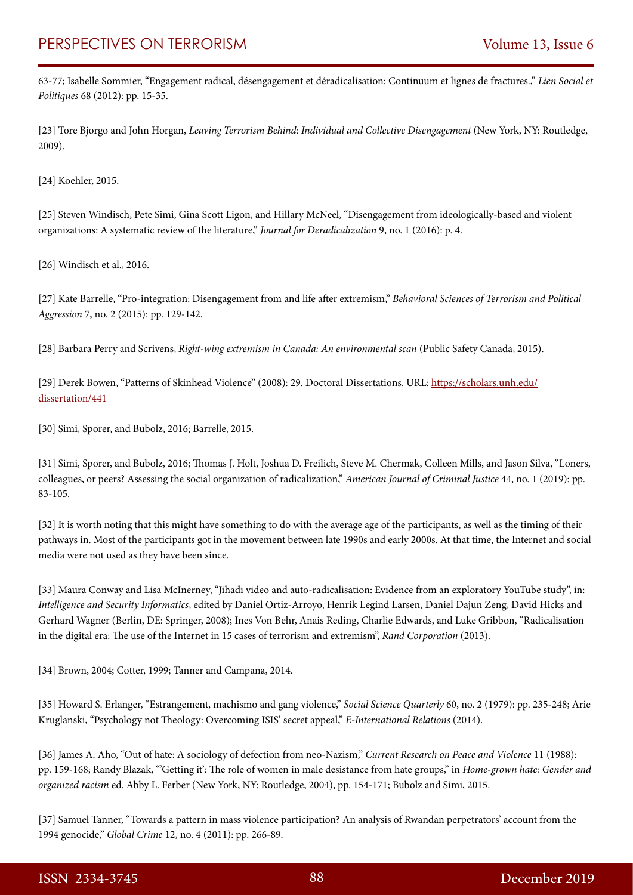63-77; Isabelle Sommier, "Engagement radical, désengagement et déradicalisation: Continuum et lignes de fractures.," *Lien Social et Politiques* 68 (2012): pp. 15-35.

[23] Tore Bjorgo and John Horgan, *Leaving Terrorism Behind: Individual and Collective Disengagement* (New York, NY: Routledge, 2009).

[24] Koehler, 2015.

[25] Steven Windisch, Pete Simi, Gina Scott Ligon, and Hillary McNeel, "Disengagement from ideologically-based and violent organizations: A systematic review of the literature," *Journal for Deradicalization* 9, no. 1 (2016): p. 4.

[26] Windisch et al., 2016.

[27] Kate Barrelle, "Pro-integration: Disengagement from and life after extremism," *Behavioral Sciences of Terrorism and Political Aggression* 7, no. 2 (2015): pp. 129-142.

[28] Barbara Perry and Scrivens, *Right-wing extremism in Canada: An environmental scan* (Public Safety Canada, 2015).

[29] Derek Bowen, "Patterns of Skinhead Violence" (2008): 29. Doctoral Dissertations. URL: [https://scholars.unh.edu/](https://scholars.unh.edu/dissertation/441) [dissertation/441](https://scholars.unh.edu/dissertation/441)

[30] Simi, Sporer, and Bubolz, 2016; Barrelle, 2015.

[31] Simi, Sporer, and Bubolz, 2016; Thomas J. Holt, Joshua D. Freilich, Steve M. Chermak, Colleen Mills, and Jason Silva, "Loners, colleagues, or peers? Assessing the social organization of radicalization," *American Journal of Criminal Justice* 44, no. 1 (2019): pp. 83-105.

[32] It is worth noting that this might have something to do with the average age of the participants, as well as the timing of their pathways in. Most of the participants got in the movement between late 1990s and early 2000s. At that time, the Internet and social media were not used as they have been since.

[33] Maura Conway and Lisa McInerney, "Jihadi video and auto-radicalisation: Evidence from an exploratory YouTube study", in: *Intelligence and Security Informatics*, edited by Daniel Ortiz-Arroyo, Henrik Legind Larsen, Daniel Dajun Zeng, David Hicks and Gerhard Wagner (Berlin, DE: Springer, 2008); Ines Von Behr, Anais Reding, Charlie Edwards, and Luke Gribbon, "Radicalisation in the digital era: The use of the Internet in 15 cases of terrorism and extremism", *Rand Corporation* (2013).

[34] Brown, 2004; Cotter, 1999; Tanner and Campana, 2014.

[35] Howard S. Erlanger, "Estrangement, machismo and gang violence," *Social Science Quarterly* 60, no. 2 (1979): pp. 235-248; Arie Kruglanski, "Psychology not Theology: Overcoming ISIS' secret appeal," *E-International Relations* (2014).

[36] James A. Aho, "Out of hate: A sociology of defection from neo-Nazism," *Current Research on Peace and Violence* 11 (1988): pp. 159-168; Randy Blazak, "'Getting it': The role of women in male desistance from hate groups," in *Home-grown hate: Gender and organized racism* ed. Abby L. Ferber (New York, NY: Routledge, 2004), pp. 154-171; Bubolz and Simi, 2015.

[37] Samuel Tanner, "Towards a pattern in mass violence participation? An analysis of Rwandan perpetrators' account from the 1994 genocide," *Global Crime* 12, no. 4 (2011): pp. 266-89.